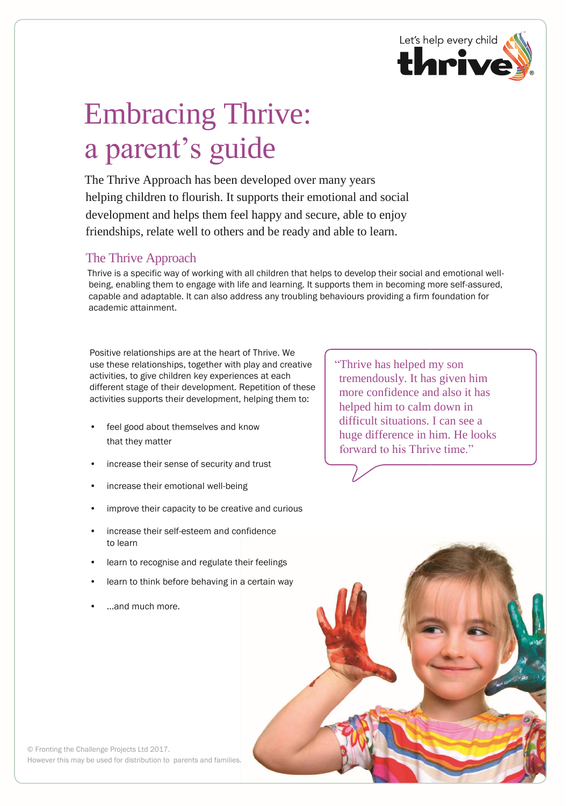

## Embracing Thrive: a parent's guide

The Thrive Approach has been developed over many years helping children to flourish. It supports their emotional and social development and helps them feel happy and secure, able to enjoy friendships, relate well to others and be ready and able to learn.

## The Thrive Approach

Thrive is a specific way of working with all children that helps to develop their social and emotional wellbeing, enabling them to engage with life and learning. It supports them in becoming more self-assured, capable and adaptable. It can also address any troubling behaviours providing a firm foundation for academic attainment.

Positive relationships are at the heart of Thrive. We use these relationships, together with play and creative activities, to give children key experiences at each different stage of their development. Repetition of these activities supports their development, helping them to:

- feel good about themselves and know that they matter
- increase their sense of security and trust
- increase their emotional well-being
- improve their capacity to be creative and curious
- increase their self-esteem and confidence to learn
- learn to recognise and regulate their feelings
- learn to think before behaving in a certain way
- ...and much more.

"Thrive has helped my son tremendously. It has given him more confidence and also it has helped him to calm down in difficult situations. I can see a huge difference in him. He looks forward to his Thrive time."